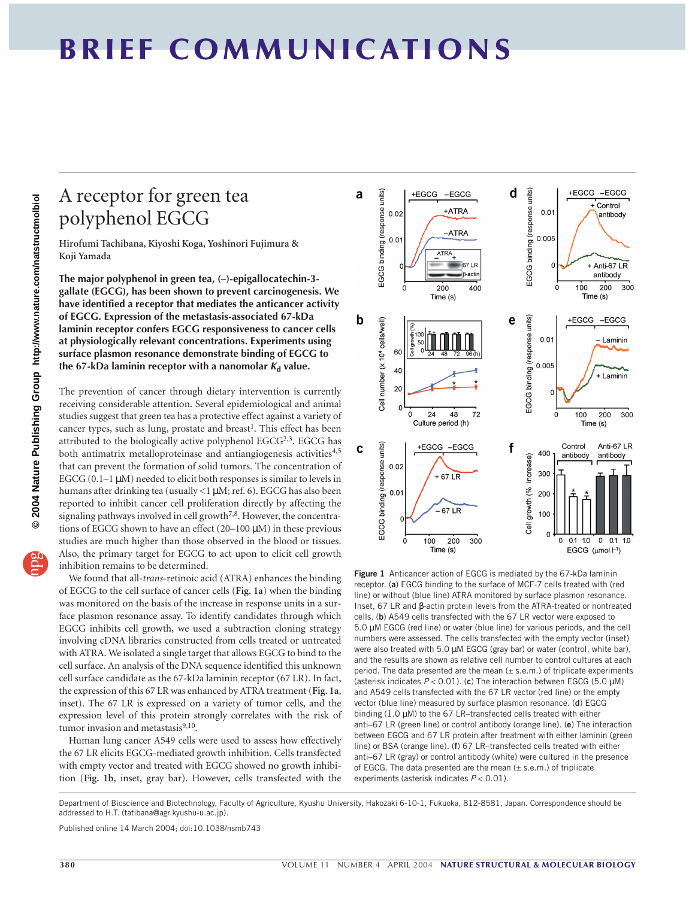## **BRIEF COMMUNICATIONS**

## A receptor for green tea polyphenol EGCG

**Hirofumi Tachibana, Kiyoshi Koga, Yoshinori Fujimura & Koji Yamada**

**The major polyphenol in green tea, (–)-epigallocatechin-3 gallate (EGCG), has been shown to prevent carcinogenesis. We have identified a receptor that mediates the anticancer activity of EGCG. Expression of the metastasis-associated 67-kDa laminin receptor confers EGCG responsiveness to cancer cells at physiologically relevant concentrations. Experiments using surface plasmon resonance demonstrate binding of EGCG to** the 67-kDa laminin receptor with a nanomolar  $K_d$  value.

The prevention of cancer through dietary intervention is currently receiving considerable attention. Several epidemiological and animal studies suggest that green tea has a protective effect against a variety of cancer types, such as lung, prostate and breast<sup>1</sup>. This effect has been attributed to the biologically active polyphenol  $EGCG^{2,3}$ . EGCG has both antimatrix metalloproteinase and antiangiogenesis activities<sup>4,5</sup> that can prevent the formation of solid tumors. The concentration of EGCG  $(0.1-1 \mu M)$  needed to elicit both responses is similar to levels in humans after drinking tea (usually <1 µM; ref. 6). EGCG has also been reported to inhibit cancer cell proliferation directly by affecting the signaling pathways involved in cell growth<sup>7,8</sup>. However, the concentrations of EGCG shown to have an effect (20–100 µM) in these previous studies are much higher than those observed in the blood or tissues. Also, the primary target for EGCG to act upon to elicit cell growth inhibition remains to be determined.

We found that all-*trans*-retinoic acid (ATRA) enhances the binding of EGCG to the cell surface of cancer cells (**Fig. 1a**) when the binding was monitored on the basis of the increase in response units in a surface plasmon resonance assay. To identify candidates through which EGCG inhibits cell growth, we used a subtraction cloning strategy involving cDNA libraries constructed from cells treated or untreated with ATRA. We isolated a single target that allows EGCG to bind to the cell surface. An analysis of the DNA sequence identified this unknown cell surface candidate as the 67-kDa laminin receptor (67 LR). In fact, the expression of this 67 LR was enhanced by ATRA treatment (**Fig. 1a**, inset). The 67 LR is expressed on a variety of tumor cells, and the expression level of this protein strongly correlates with the risk of tumor invasion and metastasis $9,10$ .

Human lung cancer A549 cells were used to assess how effectively the 67 LR elicits EGCG-mediated growth inhibition. Cells transfected with empty vector and treated with EGCG showed no growth inhibition (**Fig. 1b**, inset, gray bar). However, cells transfected with the



**Figure 1** Anticancer action of EGCG is mediated by the 67-kDa laminin receptor. (**a**) EGCG binding to the surface of MCF-7 cells treated with (red line) or without (blue line) ATRA monitored by surface plasmon resonance. Inset, 67 LR and β-actin protein levels from the ATRA-treated or nontreated cells. (**b**) A549 cells transfected with the 67 LR vector were exposed to 5.0 µM EGCG (red line) or water (blue line) for various periods, and the cell numbers were assessed. The cells transfected with the empty vector (inset) were also treated with 5.0 µM EGCG (gray bar) or water (control, white bar), and the results are shown as relative cell number to control cultures at each period. The data presented are the mean  $(\pm s.e.m.)$  of triplicate experiments (asterisk indicates *P* < 0.01). (**c**) The interaction between EGCG (5.0 µM) and A549 cells transfected with the 67 LR vector (red line) or the empty vector (blue line) measured by surface plasmon resonance. (**d**) EGCG binding (1.0  $\mu$ M) to the 67 LR-transfected cells treated with either anti–67 LR (green line) or control antibody (orange line). (**e**) The interaction between EGCG and 67 LR protein after treatment with either laminin (green line) or BSA (orange line). (**f**) 67 LR–transfected cells treated with either anti–67 LR (gray) or control antibody (white) were cultured in the presence of EGCG. The data presented are the mean  $(\pm s.e.m.)$  of triplicate experiments (asterisk indicates *P* < 0.01).

Department of Bioscience and Biotechnology, Faculty of Agriculture, Kyushu University, Hakozaki 6-10-1, Fukuoka, 812-8581, Japan. Correspondence should be addressed to H.T. (tatibana@agr.kyushu-u.ac.jp).

Published online 14 March 2004; doi:10.1038/nsmb743